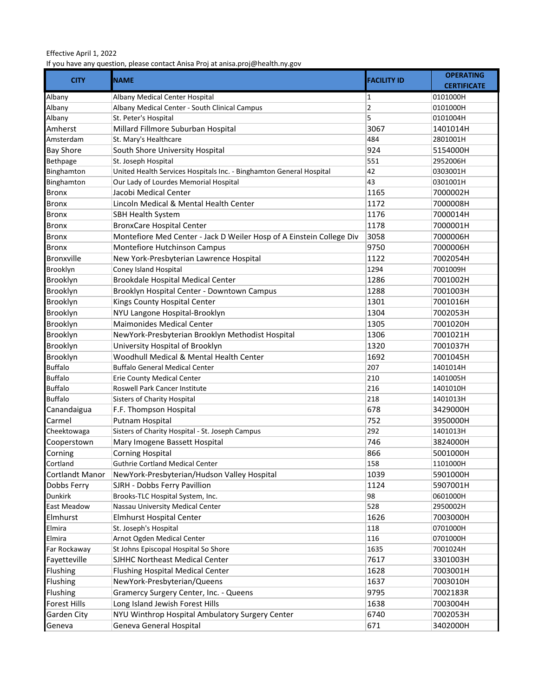## Effective April 1, 2022

If you have any question, please contact Anisa Proj at anisa.proj@health.ny.gov

| <b>CITY</b>       | <b>NAME</b>                                                          | <b>FACILITY ID</b> | <b>OPERATING</b>   |
|-------------------|----------------------------------------------------------------------|--------------------|--------------------|
|                   |                                                                      |                    | <b>CERTIFICATE</b> |
| Albany            | Albany Medical Center Hospital                                       | 1                  | 0101000H           |
| Albany            | Albany Medical Center - South Clinical Campus                        | $\overline{2}$     | 0101000H           |
| Albany            | St. Peter's Hospital                                                 | 5                  | 0101004H           |
| Amherst           | Millard Fillmore Suburban Hospital                                   | 3067               | 1401014H           |
| Amsterdam         | St. Mary's Healthcare                                                | 484                | 2801001H           |
| <b>Bay Shore</b>  | South Shore University Hospital                                      | 924                | 5154000H           |
| Bethpage          | St. Joseph Hospital                                                  | 551                | 2952006H           |
| Binghamton        | United Health Services Hospitals Inc. - Binghamton General Hospital  | 42                 | 0303001H           |
| Binghamton        | Our Lady of Lourdes Memorial Hospital                                | 43                 | 0301001H           |
| <b>Bronx</b>      | Jacobi Medical Center                                                | 1165               | 7000002H           |
| <b>Bronx</b>      | Lincoln Medical & Mental Health Center                               | 1172               | 7000008H           |
| Bronx             | <b>SBH Health System</b>                                             | 1176               | 7000014H           |
| Bronx             | <b>BronxCare Hospital Center</b>                                     | 1178               | 7000001H           |
| <b>Bronx</b>      | Montefiore Med Center - Jack D Weiler Hosp of A Einstein College Div | 3058               | 7000006H           |
| Bronx             | Montefiore Hutchinson Campus                                         | 9750               | 7000006H           |
| <b>Bronxville</b> | New York-Presbyterian Lawrence Hospital                              | 1122               | 7002054H           |
| Brooklyn          | Coney Island Hospital                                                | 1294               | 7001009H           |
| Brooklyn          | Brookdale Hospital Medical Center                                    | 1286               | 7001002H           |
| Brooklyn          | Brooklyn Hospital Center - Downtown Campus                           | 1288               | 7001003H           |
| Brooklyn          | Kings County Hospital Center                                         | 1301               | 7001016H           |
| Brooklyn          | NYU Langone Hospital-Brooklyn                                        | 1304               | 7002053H           |
| Brooklyn          | <b>Maimonides Medical Center</b>                                     | 1305               | 7001020H           |
| Brooklyn          | NewYork-Presbyterian Brooklyn Methodist Hospital                     | 1306               | 7001021H           |
| Brooklyn          | University Hospital of Brooklyn                                      | 1320               | 7001037H           |
| Brooklyn          | Woodhull Medical & Mental Health Center                              | 1692               | 7001045H           |
| <b>Buffalo</b>    | <b>Buffalo General Medical Center</b>                                | 207                | 1401014H           |
| <b>Buffalo</b>    | Erie County Medical Center                                           | 210                | 1401005H           |
| <b>Buffalo</b>    | Roswell Park Cancer Institute                                        | 216                | 1401010H           |
| <b>Buffalo</b>    | <b>Sisters of Charity Hospital</b>                                   | 218                | 1401013H           |
| Canandaigua       | F.F. Thompson Hospital                                               | 678                | 3429000H           |
| Carmel            | Putnam Hospital                                                      | 752                | 3950000H           |
| Cheektowaga       | Sisters of Charity Hospital - St. Joseph Campus                      | 292                | 1401013H           |
| Cooperstown       | Mary Imogene Bassett Hospital                                        | 746                | 3824000H           |
| Corning           | <b>Corning Hospital</b>                                              | 866                | 5001000H           |
| Cortland          | <b>Guthrie Cortland Medical Center</b>                               | 158                | 1101000H           |
| Cortlandt Manor   | NewYork-Presbyterian/Hudson Valley Hospital                          | 1039               | 5901000H           |
| Dobbs Ferry       | SJRH - Dobbs Ferry Pavillion                                         | 1124               | 5907001H           |
| Dunkirk           | Brooks-TLC Hospital System, Inc.                                     | 98                 | 0601000H           |
| East Meadow       | Nassau University Medical Center                                     | 528                | 2950002H           |
| Elmhurst          | <b>Elmhurst Hospital Center</b>                                      | 1626               | 7003000H           |
| Elmira            | St. Joseph's Hospital                                                | 118                | 0701000H           |
| Elmira            | Arnot Ogden Medical Center                                           | 116                | 0701000H           |
| Far Rockaway      | St Johns Episcopal Hospital So Shore                                 | 1635               | 7001024H           |
| Fayetteville      | SJHHC Northeast Medical Center                                       | 7617               | 3301003H           |
| Flushing          | <b>Flushing Hospital Medical Center</b>                              | 1628               | 7003001H           |
| Flushing          | NewYork-Presbyterian/Queens                                          | 1637               | 7003010H           |
| Flushing          | Gramercy Surgery Center, Inc. - Queens                               | 9795               | 7002183R           |
| Forest Hills      | Long Island Jewish Forest Hills                                      | 1638               | 7003004H           |
| Garden City       | NYU Winthrop Hospital Ambulatory Surgery Center                      | 6740               | 7002053H           |
| Geneva            | Geneva General Hospital                                              | 671                | 3402000H           |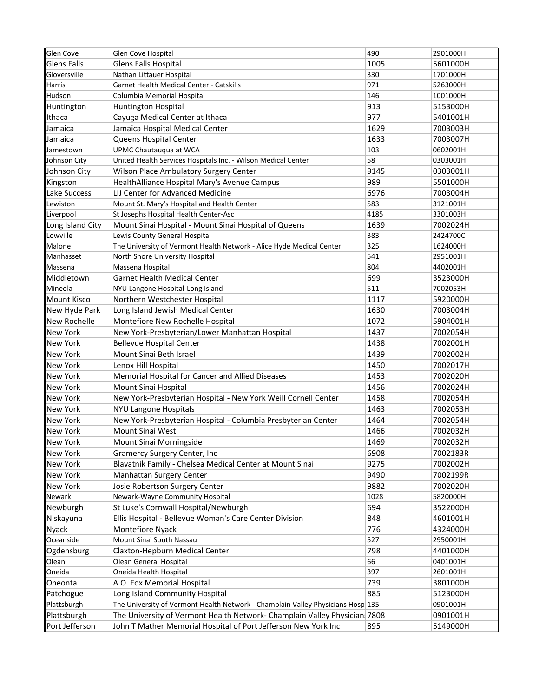| Glen Cove           | Glen Cove Hospital                                                              | 490  | 2901000H |
|---------------------|---------------------------------------------------------------------------------|------|----------|
| <b>Glens Falls</b>  | Glens Falls Hospital                                                            | 1005 | 5601000H |
| Gloversville        | Nathan Littauer Hospital                                                        | 330  | 1701000H |
| Harris              | Garnet Health Medical Center - Catskills                                        | 971  | 5263000H |
| Hudson              | Columbia Memorial Hospital                                                      | 146  | 1001000H |
| Huntington          | Huntington Hospital                                                             | 913  | 5153000H |
| Ithaca              | Cayuga Medical Center at Ithaca                                                 | 977  | 5401001H |
| Jamaica             | Jamaica Hospital Medical Center                                                 | 1629 | 7003003H |
| Jamaica             | Queens Hospital Center                                                          | 1633 | 7003007H |
| Jamestown           | UPMC Chautauqua at WCA                                                          | 103  | 0602001H |
| Johnson City        | United Health Services Hospitals Inc. - Wilson Medical Center                   | 58   | 0303001H |
| Johnson City        | Wilson Place Ambulatory Surgery Center                                          | 9145 | 0303001H |
| Kingston            | HealthAlliance Hospital Mary's Avenue Campus                                    | 989  | 5501000H |
| Lake Success        | LIJ Center for Advanced Medicine                                                | 6976 | 7003004H |
| Lewiston            | Mount St. Mary's Hospital and Health Center                                     | 583  | 3121001H |
| Liverpool           | St Josephs Hospital Health Center-Asc                                           | 4185 | 3301003H |
| Long Island City    | Mount Sinai Hospital - Mount Sinai Hospital of Queens                           | 1639 | 7002024H |
| Lowville            | Lewis County General Hospital                                                   | 383  | 2424700C |
| Malone              | The University of Vermont Health Network - Alice Hyde Medical Center            | 325  | 1624000H |
| Manhasset           | North Shore University Hospital                                                 | 541  | 2951001H |
| Massena             | Massena Hospital                                                                | 804  | 4402001H |
| Middletown          | <b>Garnet Health Medical Center</b>                                             | 699  | 3523000H |
| Mineola             | NYU Langone Hospital-Long Island                                                | 511  | 7002053H |
| <b>Mount Kisco</b>  | Northern Westchester Hospital                                                   | 1117 | 5920000H |
| New Hyde Park       | Long Island Jewish Medical Center                                               | 1630 | 7003004H |
| <b>New Rochelle</b> | Montefiore New Rochelle Hospital                                                | 1072 | 5904001H |
| New York            | New York-Presbyterian/Lower Manhattan Hospital                                  | 1437 | 7002054H |
| New York            | <b>Bellevue Hospital Center</b>                                                 | 1438 | 7002001H |
| <b>New York</b>     | Mount Sinai Beth Israel                                                         | 1439 | 7002002H |
| New York            | Lenox Hill Hospital                                                             | 1450 | 7002017H |
| <b>New York</b>     | Memorial Hospital for Cancer and Allied Diseases                                | 1453 | 7002020H |
| <b>New York</b>     | Mount Sinai Hospital                                                            | 1456 | 7002024H |
| <b>New York</b>     | New York-Presbyterian Hospital - New York Weill Cornell Center                  | 1458 | 7002054H |
| New York            | <b>NYU Langone Hospitals</b>                                                    | 1463 | 7002053H |
| <b>New York</b>     | New York-Presbyterian Hospital - Columbia Presbyterian Center                   | 1464 | 7002054H |
| <b>New York</b>     | Mount Sinai West                                                                | 1466 | 7002032H |
| New York            | Mount Sinai Morningside                                                         | 1469 | 7002032H |
| New York            | Gramercy Surgery Center, Inc                                                    | 6908 | 7002183R |
| New York            | Blavatnik Family - Chelsea Medical Center at Mount Sinai                        | 9275 | 7002002H |
| New York            | Manhattan Surgery Center                                                        | 9490 |          |
| New York            | Josie Robertson Surgery Center                                                  | 9882 | 7002199R |
|                     |                                                                                 |      | 7002020H |
| Newark              | Newark-Wayne Community Hospital                                                 | 1028 | 5820000H |
| Newburgh            | St Luke's Cornwall Hospital/Newburgh                                            | 694  | 3522000H |
| Niskayuna           | Ellis Hospital - Bellevue Woman's Care Center Division                          | 848  | 4601001H |
| Nyack<br>Oceanside  | Montefiore Nyack                                                                | 776  | 4324000H |
|                     | Mount Sinai South Nassau                                                        | 527  | 2950001H |
| Ogdensburg          | Claxton-Hepburn Medical Center                                                  | 798  | 4401000H |
| Olean               | Olean General Hospital                                                          | 66   | 0401001H |
| Oneida              | Oneida Health Hospital                                                          | 397  | 2601001H |
| Oneonta             | A.O. Fox Memorial Hospital                                                      | 739  | 3801000H |
| Patchogue           | Long Island Community Hospital                                                  | 885  | 5123000H |
| Plattsburgh         | The University of Vermont Health Network - Champlain Valley Physicians Hosp 135 |      | 0901001H |
| Plattsburgh         | The University of Vermont Health Network- Champlain Valley Physician: 7808      |      | 0901001H |
| Port Jefferson      | John T Mather Memorial Hospital of Port Jefferson New York Inc                  | 895  | 5149000H |